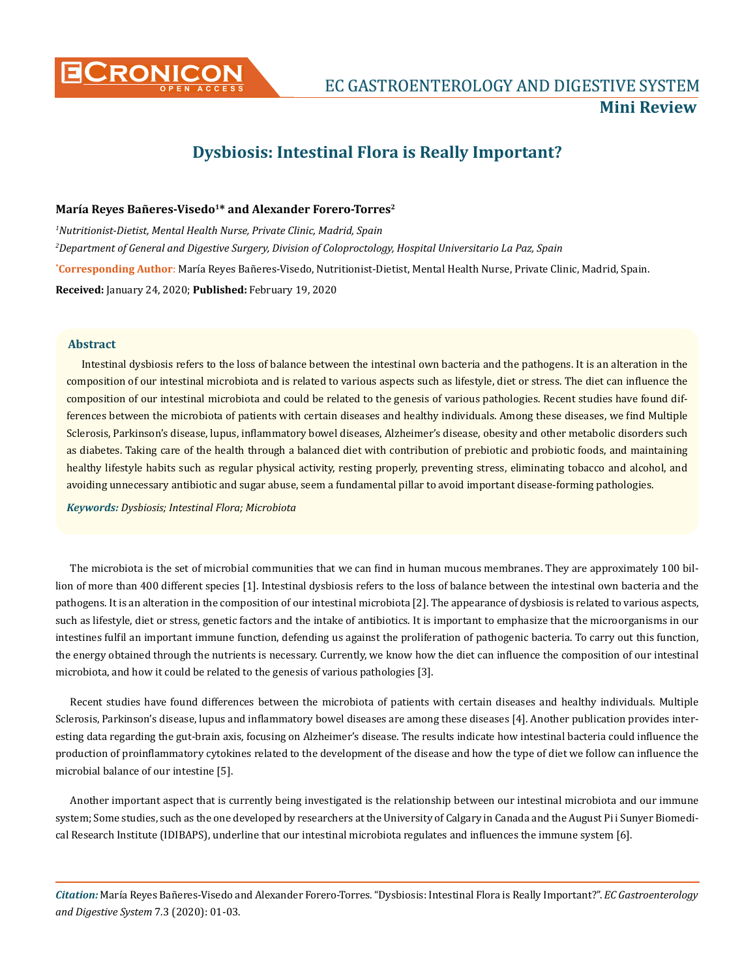

# **Dysbiosis: Intestinal Flora is Really Important?**

## María Reyes Bañeres-Visedo<sup>1\*</sup> and Alexander Forero-Torres<sup>2</sup>

**\* Corresponding Author**: María Reyes Bañeres-Visedo, Nutritionist-Dietist, Mental Health Nurse, Private Clinic, Madrid, Spain. **Received:** January 24, 2020; **Published:** February 19, 2020 *1 Nutritionist-Dietist, Mental Health Nurse, Private Clinic, Madrid, Spain 2 Department of General and Digestive Surgery, Division of Coloproctology, Hospital Universitario La Paz, Spain*

### **Abstract**

Intestinal dysbiosis refers to the loss of balance between the intestinal own bacteria and the pathogens. It is an alteration in the composition of our intestinal microbiota and is related to various aspects such as lifestyle, diet or stress. The diet can influence the composition of our intestinal microbiota and could be related to the genesis of various pathologies. Recent studies have found differences between the microbiota of patients with certain diseases and healthy individuals. Among these diseases, we find Multiple Sclerosis, Parkinson's disease, lupus, inflammatory bowel diseases, Alzheimer's disease, obesity and other metabolic disorders such as diabetes. Taking care of the health through a balanced diet with contribution of prebiotic and probiotic foods, and maintaining healthy lifestyle habits such as regular physical activity, resting properly, preventing stress, eliminating tobacco and alcohol, and avoiding unnecessary antibiotic and sugar abuse, seem a fundamental pillar to avoid important disease-forming pathologies.

*Keywords: Dysbiosis; Intestinal Flora; Microbiota*

The microbiota is the set of microbial communities that we can find in human mucous membranes. They are approximately 100 billion of more than 400 different species [1]. Intestinal dysbiosis refers to the loss of balance between the intestinal own bacteria and the pathogens. It is an alteration in the composition of our intestinal microbiota [2]. The appearance of dysbiosis is related to various aspects, such as lifestyle, diet or stress, genetic factors and the intake of antibiotics. It is important to emphasize that the microorganisms in our intestines fulfil an important immune function, defending us against the proliferation of pathogenic bacteria. To carry out this function, the energy obtained through the nutrients is necessary. Currently, we know how the diet can influence the composition of our intestinal microbiota, and how it could be related to the genesis of various pathologies [3].

Recent studies have found differences between the microbiota of patients with certain diseases and healthy individuals. Multiple Sclerosis, Parkinson's disease, lupus and inflammatory bowel diseases are among these diseases [4]. Another publication provides interesting data regarding the gut-brain axis, focusing on Alzheimer's disease. The results indicate how intestinal bacteria could influence the production of proinflammatory cytokines related to the development of the disease and how the type of diet we follow can influence the microbial balance of our intestine [5].

Another important aspect that is currently being investigated is the relationship between our intestinal microbiota and our immune system; Some studies, such as the one developed by researchers at the University of Calgary in Canada and the August Pi i Sunyer Biomedical Research Institute (IDIBAPS), underline that our intestinal microbiota regulates and influences the immune system [6].

*Citation:* María Reyes Bañeres-Visedo and Alexander Forero-Torres*.* "Dysbiosis: Intestinal Flora is Really Important?". *EC Gastroenterology and Digestive System* 7.3 (2020): 01-03.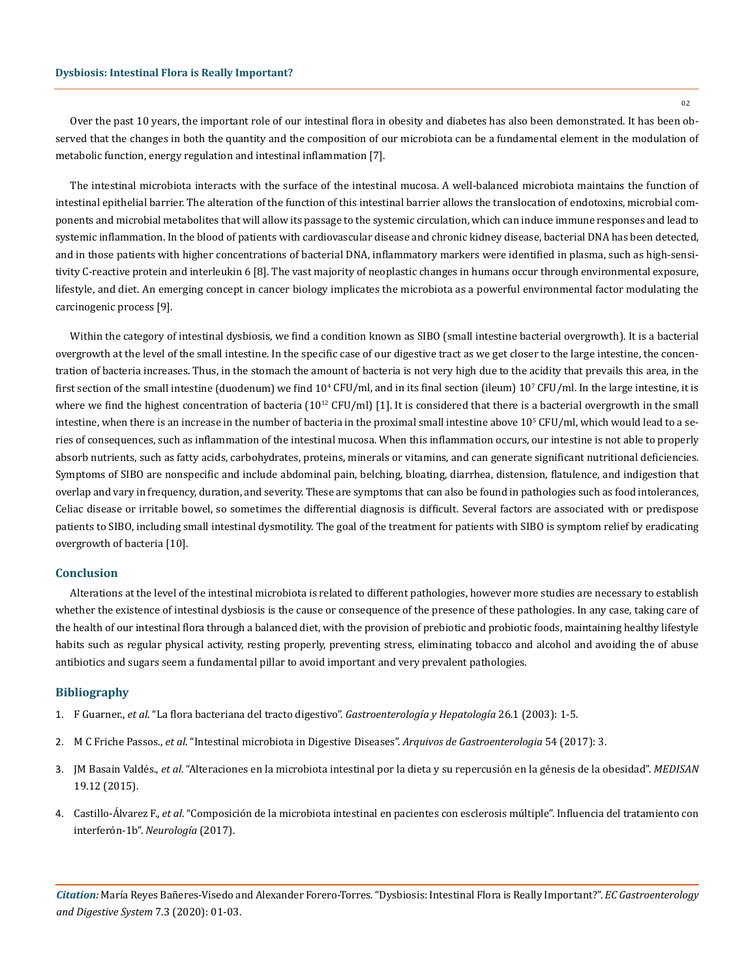02

Over the past 10 years, the important role of our intestinal flora in obesity and diabetes has also been demonstrated. It has been observed that the changes in both the quantity and the composition of our microbiota can be a fundamental element in the modulation of metabolic function, energy regulation and intestinal inflammation [7].

The intestinal microbiota interacts with the surface of the intestinal mucosa. A well-balanced microbiota maintains the function of intestinal epithelial barrier. The alteration of the function of this intestinal barrier allows the translocation of endotoxins, microbial components and microbial metabolites that will allow its passage to the systemic circulation, which can induce immune responses and lead to systemic inflammation. In the blood of patients with cardiovascular disease and chronic kidney disease, bacterial DNA has been detected, and in those patients with higher concentrations of bacterial DNA, inflammatory markers were identified in plasma, such as high-sensitivity C-reactive protein and interleukin 6 [8]. The vast majority of neoplastic changes in humans occur through environmental exposure, lifestyle, and diet. An emerging concept in cancer biology implicates the microbiota as a powerful environmental factor modulating the carcinogenic process [9].

Within the category of intestinal dysbiosis, we find a condition known as SIBO (small intestine bacterial overgrowth). It is a bacterial overgrowth at the level of the small intestine. In the specific case of our digestive tract as we get closer to the large intestine, the concentration of bacteria increases. Thus, in the stomach the amount of bacteria is not very high due to the acidity that prevails this area, in the first section of the small intestine (duodenum) we find  $10^4$  CFU/ml, and in its final section (ileum)  $10^{\prime}$  CFU/ml. In the large intestine, it is where we find the highest concentration of bacteria  $(10^{12} CFU/ml)$  [1]. It is considered that there is a bacterial overgrowth in the small intestine, when there is an increase in the number of bacteria in the proximal small intestine above  $10^{\rm s}$  CFU/ml, which would lead to a series of consequences, such as inflammation of the intestinal mucosa. When this inflammation occurs, our intestine is not able to properly absorb nutrients, such as fatty acids, carbohydrates, proteins, minerals or vitamins, and can generate significant nutritional deficiencies. Symptoms of SIBO are nonspecific and include abdominal pain, belching, bloating, diarrhea, distension, flatulence, and indigestion that overlap and vary in frequency, duration, and severity. These are symptoms that can also be found in pathologies such as food intolerances, Celiac disease or irritable bowel, so sometimes the differential diagnosis is difficult. Several factors are associated with or predispose patients to SIBO, including small intestinal dysmotility. The goal of the treatment for patients with SIBO is symptom relief by eradicating overgrowth of bacteria [10].

#### **Conclusion**

Alterations at the level of the intestinal microbiota is related to different pathologies, however more studies are necessary to establish whether the existence of intestinal dysbiosis is the cause or consequence of the presence of these pathologies. In any case, taking care of the health of our intestinal flora through a balanced diet, with the provision of prebiotic and probiotic foods, maintaining healthy lifestyle habits such as regular physical activity, resting properly, preventing stress, eliminating tobacco and alcohol and avoiding the of abuse antibiotics and sugars seem a fundamental pillar to avoid important and very prevalent pathologies.

## **Bibliography**

- 1. F Guarner., *et al*[. "La flora bacteriana del tracto digestivo".](https://www.elsevier.es/es-revista-gastroenterologia-hepatologia-14-pdf-13043240) *Gastroenterología y Hepatología* 26.1 (2003): 1-5.
- 2. M C Friche Passos., *et al*[. "Intestinal microbiota in Digestive Diseases".](https://www.ncbi.nlm.nih.gov/pubmed/28723981) *Arquivos de Gastroenterologia* 54 (2017): 3.
- 3. JM Basain Valdés., *et al*[. "Alteraciones en la microbiota intestinal por la dieta y su repercusión en la génesis de la obesidad".](http://scielo.sld.cu/scielo.php?script=sci_arttext&pid=S1029-30192015001200013) *MEDISAN* [19.12 \(2015\).](http://scielo.sld.cu/scielo.php?script=sci_arttext&pid=S1029-30192015001200013)
- 4. Castillo-Álvarez F., *et al*[. "Composición de la microbiota intestinal en pacientes con esclerosis múltiple". Influencia del tratamiento con](https://www.elsevier.es/es-revista-neurologia-295-avance-resumen-composicion-microbiota-intestinal-pacientes-con-S0213485318301580) [interferón-1b".](https://www.elsevier.es/es-revista-neurologia-295-avance-resumen-composicion-microbiota-intestinal-pacientes-con-S0213485318301580) *Neurología* (2017).